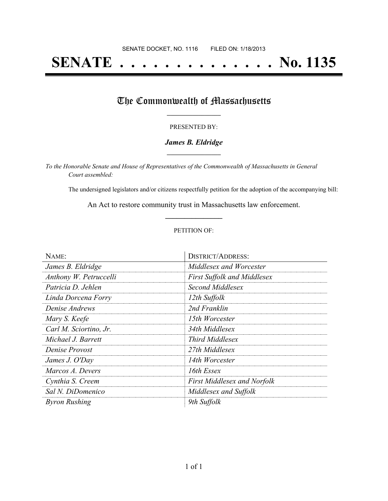# **SENATE . . . . . . . . . . . . . . No. 1135**

### The Commonwealth of Massachusetts

#### PRESENTED BY:

#### *James B. Eldridge* **\_\_\_\_\_\_\_\_\_\_\_\_\_\_\_\_\_**

*To the Honorable Senate and House of Representatives of the Commonwealth of Massachusetts in General Court assembled:*

The undersigned legislators and/or citizens respectfully petition for the adoption of the accompanying bill:

An Act to restore community trust in Massachusetts law enforcement. **\_\_\_\_\_\_\_\_\_\_\_\_\_\_\_**

#### PETITION OF:

| NAME:                  | <b>DISTRICT/ADDRESS:</b>           |
|------------------------|------------------------------------|
| James B. Eldridge      | Middlesex and Worcester            |
| Anthony W. Petruccelli | <b>First Suffolk and Middlesex</b> |
| Patricia D. Jehlen     | Second Middlesex                   |
| Linda Dorcena Forry    | 12th Suffolk                       |
| Denise Andrews         | 2nd Franklin                       |
| Mary S. Keefe          | 15th Worcester                     |
| Carl M. Sciortino, Jr. | 34th Middlesex                     |
| Michael J. Barrett     | <i>Third Middlesex</i>             |
| Denise Provost         | 27th Middlesex                     |
| James J. O'Day         | 14th Worcester                     |
| Marcos A. Devers       | 16th Essex                         |
| Cynthia S. Creem       | <b>First Middlesex and Norfolk</b> |
| Sal N. DiDomenico      | Middlesex and Suffolk              |
| <b>Byron Rushing</b>   | 9th Suffolk                        |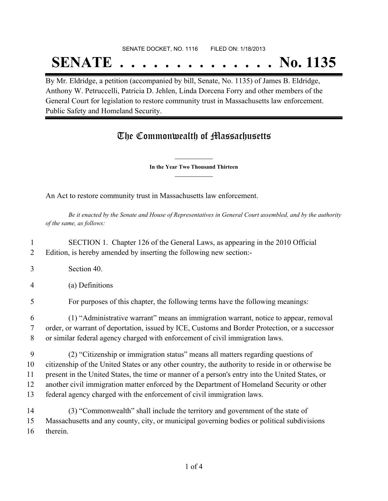## SENATE DOCKET, NO. 1116 FILED ON: 1/18/2013

## **SENATE . . . . . . . . . . . . . . No. 1135** By Mr. Eldridge, a petition (accompanied by bill, Senate, No. 1135) of James B. Eldridge,

Anthony W. Petruccelli, Patricia D. Jehlen, Linda Dorcena Forry and other members of the General Court for legislation to restore community trust in Massachusetts law enforcement. Public Safety and Homeland Security.

## The Commonwealth of Massachusetts

**\_\_\_\_\_\_\_\_\_\_\_\_\_\_\_ In the Year Two Thousand Thirteen \_\_\_\_\_\_\_\_\_\_\_\_\_\_\_**

An Act to restore community trust in Massachusetts law enforcement.

Be it enacted by the Senate and House of Representatives in General Court assembled, and by the authority *of the same, as follows:*

1 SECTION 1. Chapter 126 of the General Laws, as appearing in the 2010 Official 2 Edition, is hereby amended by inserting the following new section:-

- 3 Section 40.
- 4 (a) Definitions
- 5 For purposes of this chapter, the following terms have the following meanings:

6 (1) "Administrative warrant" means an immigration warrant, notice to appear, removal 7 order, or warrant of deportation, issued by ICE, Customs and Border Protection, or a successor 8 or similar federal agency charged with enforcement of civil immigration laws.

- 9 (2) "Citizenship or immigration status" means all matters regarding questions of 10 citizenship of the United States or any other country, the authority to reside in or otherwise be 11 present in the United States, the time or manner of a person's entry into the United States, or 12 another civil immigration matter enforced by the Department of Homeland Security or other 13 federal agency charged with the enforcement of civil immigration laws.
- 14 (3) "Commonwealth" shall include the territory and government of the state of 15 Massachusetts and any county, city, or municipal governing bodies or political subdivisions 16 therein.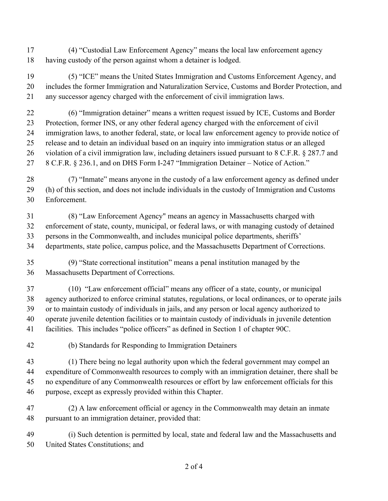(4) "Custodial Law Enforcement Agency" means the local law enforcement agency having custody of the person against whom a detainer is lodged.

 (5) "ICE" means the United States Immigration and Customs Enforcement Agency, and includes the former Immigration and Naturalization Service, Customs and Border Protection, and any successor agency charged with the enforcement of civil immigration laws.

 (6) "Immigration detainer" means a written request issued by ICE, Customs and Border Protection, former INS, or any other federal agency charged with the enforcement of civil immigration laws, to another federal, state, or local law enforcement agency to provide notice of release and to detain an individual based on an inquiry into immigration status or an alleged 26 violation of a civil immigration law, including detainers issued pursuant to 8 C.F.R. § 287.7 and 8 C.F.R. § 236.1, and on DHS Form I-247 "Immigration Detainer – Notice of Action."

 (7) "Inmate" means anyone in the custody of a law enforcement agency as defined under (h) of this section, and does not include individuals in the custody of Immigration and Customs Enforcement.

 (8) "Law Enforcement Agency" means an agency in Massachusetts charged with enforcement of state, county, municipal, or federal laws, or with managing custody of detained persons in the Commonwealth, and includes municipal police departments, sheriffs' departments, state police, campus police, and the Massachusetts Department of Corrections.

 (9) "State correctional institution" means a penal institution managed by the Massachusetts Department of Corrections.

 (10) "Law enforcement official" means any officer of a state, county, or municipal agency authorized to enforce criminal statutes, regulations, or local ordinances, or to operate jails or to maintain custody of individuals in jails, and any person or local agency authorized to operate juvenile detention facilities or to maintain custody of individuals in juvenile detention facilities. This includes "police officers" as defined in Section 1 of chapter 90C.

(b) Standards for Responding to Immigration Detainers

 (1) There being no legal authority upon which the federal government may compel an expenditure of Commonwealth resources to comply with an immigration detainer, there shall be no expenditure of any Commonwealth resources or effort by law enforcement officials for this purpose, except as expressly provided within this Chapter.

 (2) A law enforcement official or agency in the Commonwealth may detain an inmate pursuant to an immigration detainer, provided that:

 (i) Such detention is permitted by local, state and federal law and the Massachusetts and United States Constitutions; and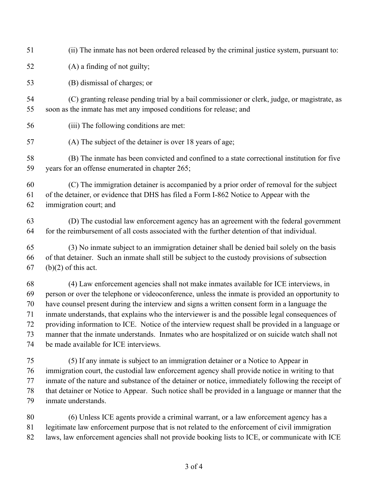- (ii) The inmate has not been ordered released by the criminal justice system, pursuant to:
- (A) a finding of not guilty;

(B) dismissal of charges; or

- (C) granting release pending trial by a bail commissioner or clerk, judge, or magistrate, as soon as the inmate has met any imposed conditions for release; and
- (iii) The following conditions are met:
- (A) The subject of the detainer is over 18 years of age;

 (B) The inmate has been convicted and confined to a state correctional institution for five years for an offense enumerated in chapter 265;

 (C) The immigration detainer is accompanied by a prior order of removal for the subject of the detainer, or evidence that DHS has filed a Form I-862 Notice to Appear with the immigration court; and

 (D) The custodial law enforcement agency has an agreement with the federal government for the reimbursement of all costs associated with the further detention of that individual.

 (3) No inmate subject to an immigration detainer shall be denied bail solely on the basis of that detainer. Such an inmate shall still be subject to the custody provisions of subsection 67 (b)(2) of this act.

 (4) Law enforcement agencies shall not make inmates available for ICE interviews, in person or over the telephone or videoconference, unless the inmate is provided an opportunity to have counsel present during the interview and signs a written consent form in a language the inmate understands, that explains who the interviewer is and the possible legal consequences of providing information to ICE. Notice of the interview request shall be provided in a language or manner that the inmate understands. Inmates who are hospitalized or on suicide watch shall not be made available for ICE interviews.

 (5) If any inmate is subject to an immigration detainer or a Notice to Appear in immigration court, the custodial law enforcement agency shall provide notice in writing to that inmate of the nature and substance of the detainer or notice, immediately following the receipt of that detainer or Notice to Appear. Such notice shall be provided in a language or manner that the inmate understands.

 (6) Unless ICE agents provide a criminal warrant, or a law enforcement agency has a legitimate law enforcement purpose that is not related to the enforcement of civil immigration laws, law enforcement agencies shall not provide booking lists to ICE, or communicate with ICE